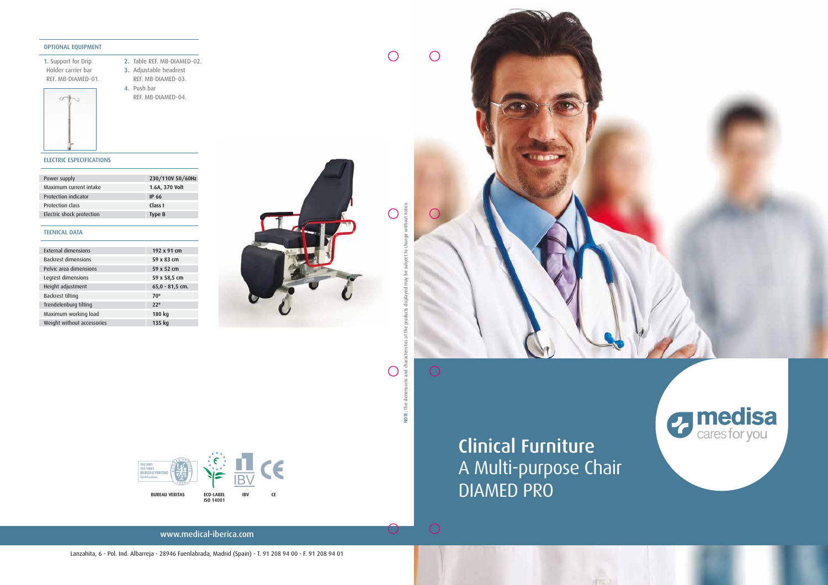## A Multi-purpose Chair DIAMED PRO Clinical Furniture



www.medical-iberica.com

Lanzahita, 6 - Pol. Ind. Albarreja - 28946 Fuenlabrada, Madrid (Spain) - T. 91 208 94 00 - F. 91 208 94 01





## ELECTRIC ESPECIFICATIONS

| Power supply              | 230/110V 50/60Hz |
|---------------------------|------------------|
| Maximum current intake    | 1.6A, 370 Volt   |
| Protection indicator      | <b>IP 66</b>     |
| Protection class          | Class I          |
| Electric shock protection | Type B           |
|                           |                  |

- $40$
- 2. Table REF. MB-DIAMED-02. 3. Adjustable headrest REF. MB-DIAMED-03. 4. Push bar
	- REF. MB-DIAMED-04.

## TECNICAL DATA

| External dimensions        | 192 x 91 cm       |
|----------------------------|-------------------|
| <b>Backrest dimensions</b> | 59 x 83 cm        |
| Pelvic area dimensions     | 59 x 52 cm        |
| Legrest dimensions         | 59 x 58,5 cm      |
| Height adjustment          | $65,0 - 81,5$ cm. |
| Backrest tilting           | 70°               |
| Trendelenburg tilting      | $22^{\circ}$      |
| Maximum working load       | 180 kg            |
| Weight without accessories | 135 kg            |
|                            |                   |



 $\bigcirc$ 

 $\bigcirc$ 

 $\bigcirc$ 

NOTE: The

 $\bigcirc$ 

## OPTIONAL EQUIPMENT

1. Support for Drip Holder carrier bar REF. MB-DIAMED-01.